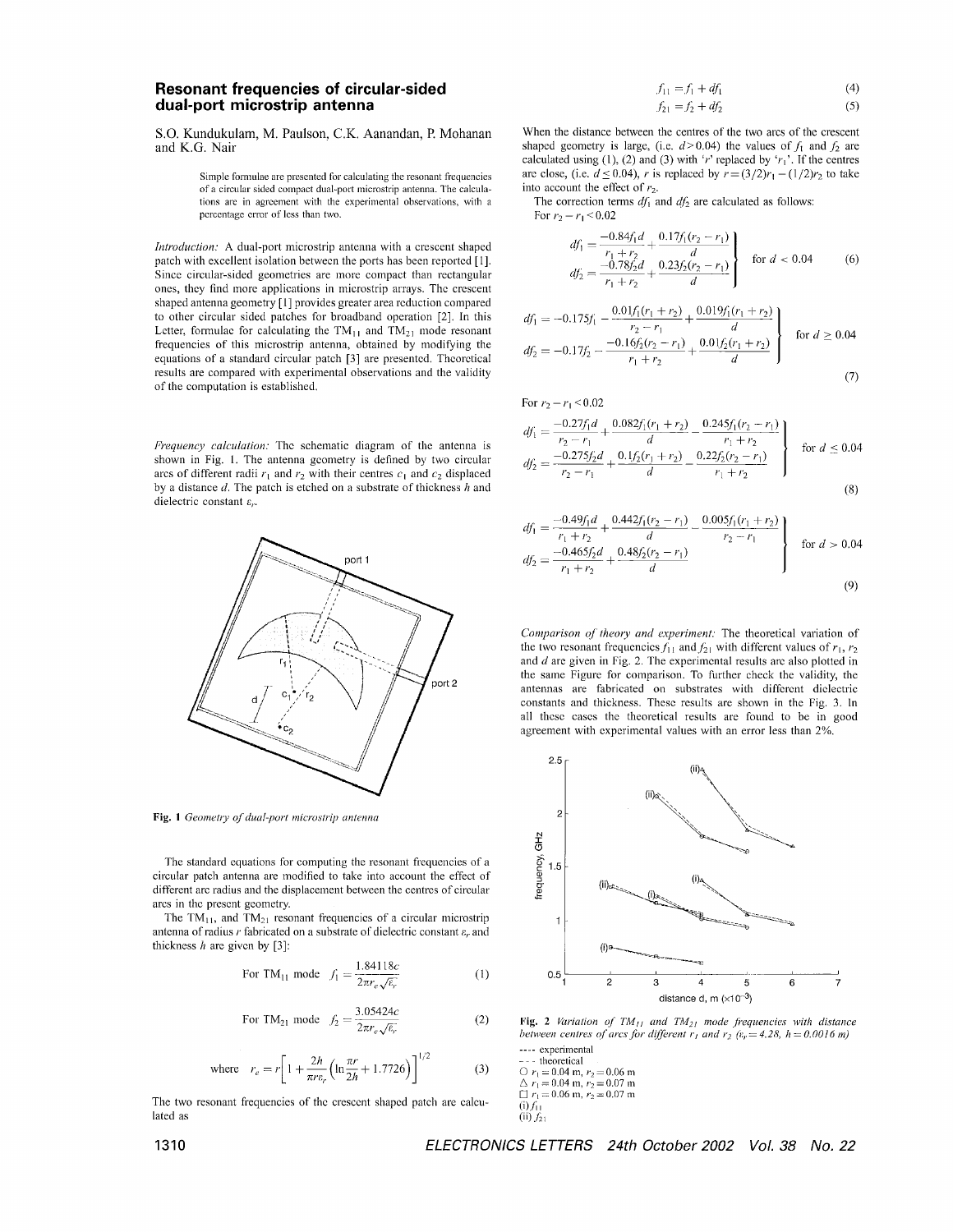## **Resonant frequencies of circular-sided dual-port microstrip antenna**

*SO.* Kundukulam, M. Paulson, C.K. Aanandan, P. Mohanan and K.G. Nair

> Simple formulae are presented for calculating the resonant frequencies of a circular sided compact dual-port microstrip antenna. The calculations are in agreement with the experimental observations, with a percentage crror of less than two.

*Introduction:* **A** dual-port microstrip antenna with a crescent shaped patch with excellent isolation betwecn the ports has been reportcd [I]. Since circular-sided geometries are inore compact than rectangular oncs, thcy find morc applications in microstrip arrays. The crcscent shaped antenna geometry [1] provides greater area reduction compared to other circular sided patches for broadband operation *[2].* In this Letter, formulae for calculating the TM<sub>11</sub> and TM<sub>21</sub> mode resonant frequencies of this microstrip antenna, obtained by modifying the equations of a standard circular patch <sup>[3]</sup> are presented. Theoretical results are compared with experimental observations and the validity of the computation is established.

*Frequency calculation:* The schematic diagram of the antenna is shown in Fig. 1. The antenna gcometry is defined by two circular arcs of different radii  $r_1$  and  $r_2$  with their centres  $c_1$  and  $c_2$  displaced by a distance *d.* The patch is etched on a substrate of thickness *h* and dielectric constant *E,.* 



Fig. 1 *Geometry of dual-port microstrip antenna* 

The standard equations for computing the resonant frequencies of a circular patch antenna are modified to take into account the effect of different arc radius and the displacement between the centres of circular arcs in thc prescnt geometry.

The TM<sub>11</sub>, and TM<sub>21</sub> resonant frequencies of a circular microstrip antenna of radius *r* fabricated on a substrate of dielectric constant *8,.* and thickncss *h* are givcn by *[3]:* 

For TM<sub>11</sub> mode 
$$
f_1 = \frac{1.84118c}{2\pi r_e \sqrt{\epsilon_r}}
$$
 (1)

For TM<sub>21</sub> mode 
$$
f_2 = \frac{3.05424c}{2\pi r_e \sqrt{\varepsilon_r}}
$$
 (2)

where 
$$
r_e = r \left[ 1 + \frac{2h}{\pi r \epsilon_r} \left( \ln \frac{\pi r}{2h} + 1.7726 \right) \right]^{1/2}
$$
 (3)

The two resonant frequencies of thc cresccnt shapcd patch are calculated as

$$
f_{11} = f_1 + df_1 \tag{4}
$$

$$
f_{21} = f_2 + df_2 \tag{5}
$$

When the distance between the centres of the two arcs of the crescent shaped geometry is large, (i.e.  $d > 0.04$ ) the values of  $f_1$  and  $f_2$  are calculated using (1), (2) and (3) with 'r' replaced by ' $r_1$ '. If the centres are close, (i.e.  $d \le 0.04$ ), *r* is replaced by  $r = (3/2)r_1 - (1/2)r_2$  to take into account the effect of  $r<sub>2</sub>$ .

The correction terms  $df_1$  and  $df_2$  are calculated as follows: For  $r_2 - r_1 \le 0.02$ 

For  $r_2 - r_1 \leq 0.02$ 

$$
df_1 = \frac{-0.84f_1d}{r_1 + r_2} + \frac{0.17f_1(r_2 - r_1)}{d}
$$
  
\n
$$
df_2 = \frac{-0.78f_2d}{r_1 + r_2} + \frac{0.23f_2(r_2 - r_1)}{d}
$$
 for  $d < 0.04$  (6)

$$
df_1 = -0.175f_1 - \frac{0.01f_1(r_1 + r_2)}{r_2 - r_1} + \frac{0.019f_1(r_1 + r_2)}{d}
$$
  
\n
$$
df_2 = -0.17f_2 - \frac{-0.16f_2(r_2 - r_1)}{r_1 + r_2} + \frac{0.01f_2(r_1 + r_2)}{d}
$$
 for  $d \ge 0.04$ 

$$
(7)
$$

$$
df_1 = \frac{-0.27f_1d}{r_2 - r_1} + \frac{0.082f_1(r_1 + r_2)}{d} - \frac{0.245f_1(r_2 - r_1)}{r_1 + r_2}
$$
  
\n
$$
df_2 = \frac{-0.275f_2d}{r_2 - r_1} + \frac{0.1f_2(r_1 + r_2)}{d} - \frac{0.22f_2(r_2 - r_1)}{r_1 + r_2}
$$
 for  $d \le 0.04$  (8)

$$
df_1 = \frac{-0.49f_1d}{r_1 + r_2} + \frac{0.442f_1(r_2 - r_1)}{d} - \frac{0.005f_1(r_1 + r_2)}{r_2 - r_1}
$$
  
\n
$$
df_2 = \frac{-0.465f_2d}{r_1 + r_2} + \frac{0.48f_2(r_2 - r_1)}{d}
$$
 for  $d > 0.04$  (9)

*Comparison of theory and experiment:* The theoretical variation of the two resonant frequencies  $f_{11}$  and  $f_{21}$  with different values of  $r_1, r_2$ and  $d$  are given in Fig. 2. The experimental results are also plotted in the same Figure for comparison. To further check the validity, the antennas are fabricated on substrates with different diclectric constants and thickness. Thesc rcsults are shown in the Fig. 3. In all thcsc cascs the theoretical results are found to be in good agreement with cxpcrimcntal values with an error less than *2%.* 



**Fig. 2** Variation of  $TM_{11}$  and  $TM_{21}$  mode frequencies with distance *hetween centres of arcs for different r<sub>l</sub> and*  $r_2$  *(* $\varepsilon_r = 4.28$ *,*  $h = 0.0016$  *m)* 

---- experimental<br>  $\sim$ - theoretical<br>  $\sim r_1 = 0.04$  m,  $r_2 = 0.06$  m  $\Delta r_1 = 0.04 \text{ m}, r_2 = 0.07 \text{ m}$  $\Box r_1 = 0.06$  m,  $r_2 = 0.07$  m  $(i) f_{11}$  $(ii) f_{21}$